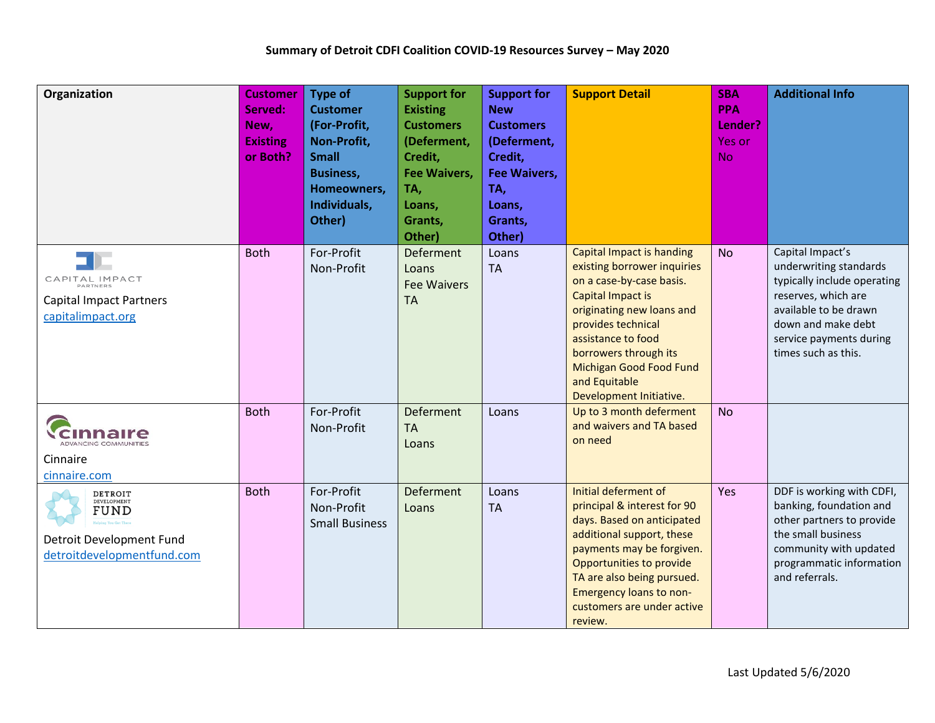| Organization                                                                             | <b>Customer</b><br>Served:<br>New,<br><b>Existing</b><br>or Both? | <b>Type of</b><br><b>Customer</b><br>(For-Profit,<br>Non-Profit,<br><b>Small</b><br><b>Business,</b><br>Homeowners,<br>Individuals,<br>Other) | <b>Support for</b><br><b>Existing</b><br><b>Customers</b><br>(Deferment,<br>Credit,<br><b>Fee Waivers,</b><br>TA,<br>Loans,<br>Grants,<br>Other) | <b>Support for</b><br><b>New</b><br><b>Customers</b><br>(Deferment,<br>Credit,<br><b>Fee Waivers,</b><br>TA,<br>Loans,<br>Grants,<br>Other) | <b>Support Detail</b>                                                                                                                                                                                                                                                                                   | <b>SBA</b><br><b>PPA</b><br>Lender?<br>Yes or<br><b>No</b> | <b>Additional Info</b>                                                                                                                                                                            |
|------------------------------------------------------------------------------------------|-------------------------------------------------------------------|-----------------------------------------------------------------------------------------------------------------------------------------------|--------------------------------------------------------------------------------------------------------------------------------------------------|---------------------------------------------------------------------------------------------------------------------------------------------|---------------------------------------------------------------------------------------------------------------------------------------------------------------------------------------------------------------------------------------------------------------------------------------------------------|------------------------------------------------------------|---------------------------------------------------------------------------------------------------------------------------------------------------------------------------------------------------|
| CAPITAL IMPACT<br><b>Capital Impact Partners</b><br>capitalimpact.org                    | <b>Both</b>                                                       | For-Profit<br>Non-Profit                                                                                                                      | Deferment<br>Loans<br><b>Fee Waivers</b><br><b>TA</b>                                                                                            | Loans<br><b>TA</b>                                                                                                                          | <b>Capital Impact is handing</b><br>existing borrower inquiries<br>on a case-by-case basis.<br><b>Capital Impact is</b><br>originating new loans and<br>provides technical<br>assistance to food<br>borrowers through its<br><b>Michigan Good Food Fund</b><br>and Equitable<br>Development Initiative. | <b>No</b>                                                  | Capital Impact's<br>underwriting standards<br>typically include operating<br>reserves, which are<br>available to be drawn<br>down and make debt<br>service payments during<br>times such as this. |
| aire<br>ADVANCING COMMUNITIES<br>Cinnaire<br>cinnaire.com                                | <b>Both</b>                                                       | For-Profit<br>Non-Profit                                                                                                                      | Deferment<br><b>TA</b><br>Loans                                                                                                                  | Loans                                                                                                                                       | Up to 3 month deferment<br>and waivers and TA based<br>on need                                                                                                                                                                                                                                          | <b>No</b>                                                  |                                                                                                                                                                                                   |
| DETROIT<br>DEVELOPMENT<br>FUND<br>Detroit Development Fund<br>detroitdevelopmentfund.com | <b>Both</b>                                                       | For-Profit<br>Non-Profit<br><b>Small Business</b>                                                                                             | Deferment<br>Loans                                                                                                                               | Loans<br><b>TA</b>                                                                                                                          | Initial deferment of<br>principal & interest for 90<br>days. Based on anticipated<br>additional support, these<br>payments may be forgiven.<br>Opportunities to provide<br>TA are also being pursued.<br><b>Emergency loans to non-</b><br>customers are under active<br>review.                        | Yes                                                        | DDF is working with CDFI,<br>banking, foundation and<br>other partners to provide<br>the small business<br>community with updated<br>programmatic information<br>and referrals.                   |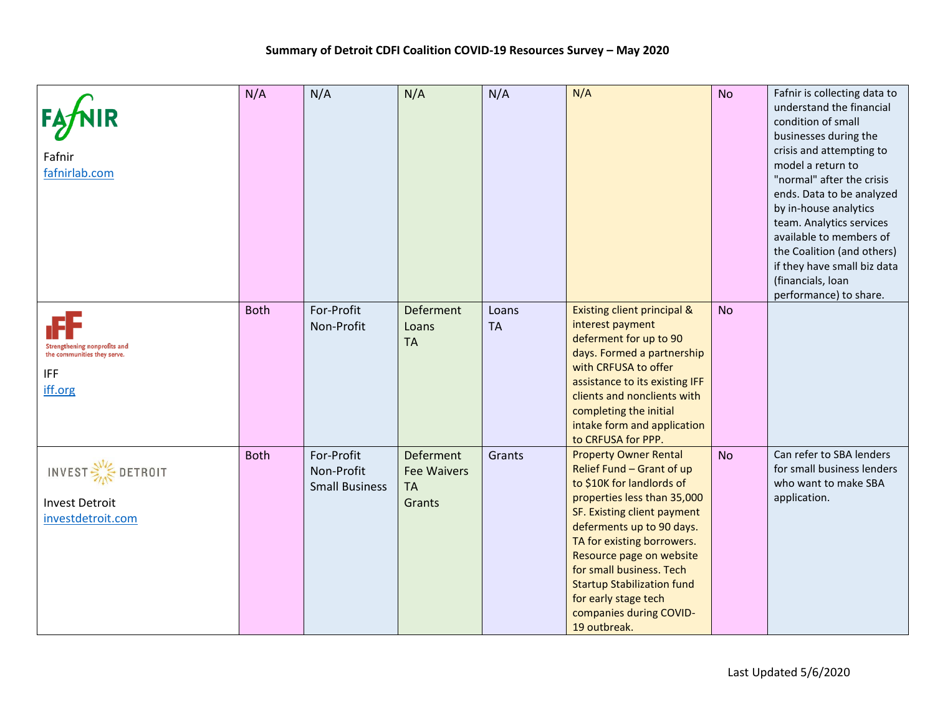| Fafnir<br>fafnirlab.com                                                                     | N/A         | N/A                                               | N/A                                                    | N/A                | N/A                                                                                                                                                                                                                                                                                                                                                                             | <b>No</b> | Fafnir is collecting data to<br>understand the financial<br>condition of small<br>businesses during the<br>crisis and attempting to<br>model a return to<br>"normal" after the crisis<br>ends. Data to be analyzed<br>by in-house analytics<br>team. Analytics services<br>available to members of<br>the Coalition (and others)<br>if they have small biz data<br>(financials, loan<br>performance) to share. |
|---------------------------------------------------------------------------------------------|-------------|---------------------------------------------------|--------------------------------------------------------|--------------------|---------------------------------------------------------------------------------------------------------------------------------------------------------------------------------------------------------------------------------------------------------------------------------------------------------------------------------------------------------------------------------|-----------|----------------------------------------------------------------------------------------------------------------------------------------------------------------------------------------------------------------------------------------------------------------------------------------------------------------------------------------------------------------------------------------------------------------|
| <b>Strengthening nonprofits and</b><br>the communities they serve.<br><b>IFF</b><br>iff.org | <b>Both</b> | For-Profit<br>Non-Profit                          | <b>Deferment</b><br>Loans<br><b>TA</b>                 | Loans<br><b>TA</b> | Existing client principal &<br>interest payment<br>deferment for up to 90<br>days. Formed a partnership<br>with CRFUSA to offer<br>assistance to its existing IFF<br>clients and nonclients with<br>completing the initial<br>intake form and application<br>to CRFUSA for PPP.                                                                                                 | <b>No</b> |                                                                                                                                                                                                                                                                                                                                                                                                                |
| <b>INVEST SILE DETROIT</b><br><b>Invest Detroit</b><br>investdetroit.com                    | <b>Both</b> | For-Profit<br>Non-Profit<br><b>Small Business</b> | Deferment<br><b>Fee Waivers</b><br><b>TA</b><br>Grants | Grants             | <b>Property Owner Rental</b><br>Relief Fund - Grant of up<br>to \$10K for landlords of<br>properties less than 35,000<br>SF. Existing client payment<br>deferments up to 90 days.<br>TA for existing borrowers.<br>Resource page on website<br>for small business. Tech<br><b>Startup Stabilization fund</b><br>for early stage tech<br>companies during COVID-<br>19 outbreak. | <b>No</b> | Can refer to SBA lenders<br>for small business lenders<br>who want to make SBA<br>application.                                                                                                                                                                                                                                                                                                                 |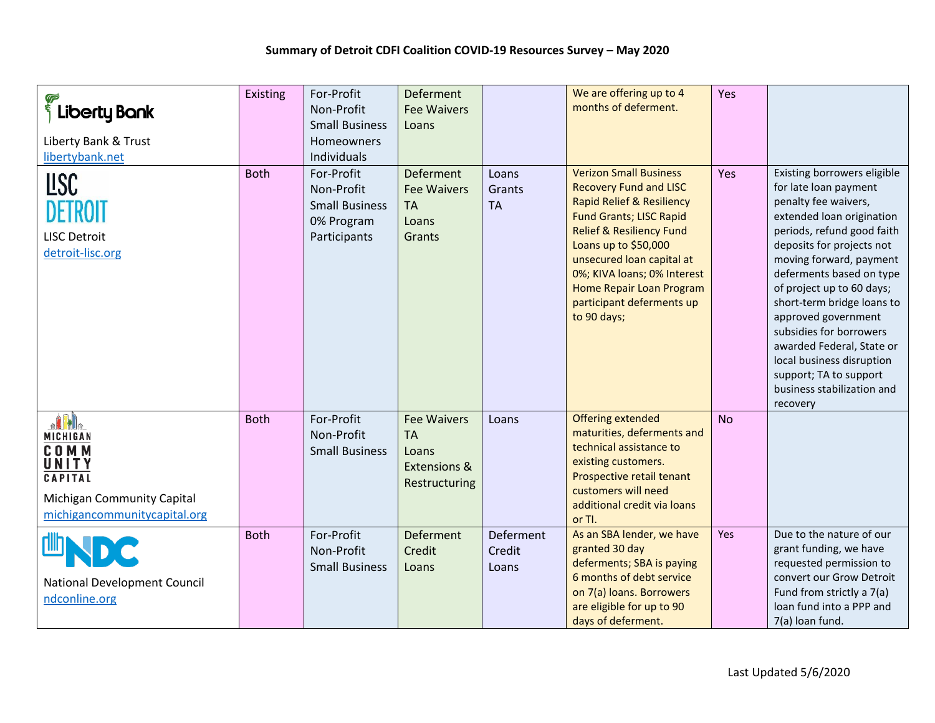| $\frac{1}{3}$ Liberty Bank<br>Liberty Bank & Trust<br>libertybank.net<br><b>LISC</b><br><b>DETROIT</b><br><b>LISC Detroit</b><br>detroit-lisc.org | <b>Existing</b><br><b>Both</b> | For-Profit<br>Non-Profit<br><b>Small Business</b><br>Homeowners<br>Individuals<br>For-Profit<br>Non-Profit<br><b>Small Business</b><br>0% Program<br>Participants | Deferment<br><b>Fee Waivers</b><br>Loans<br><b>Deferment</b><br><b>Fee Waivers</b><br><b>TA</b><br>Loans<br>Grants | Loans<br>Grants<br><b>TA</b> | We are offering up to 4<br>months of deferment.<br><b>Verizon Small Business</b><br><b>Recovery Fund and LISC</b><br><b>Rapid Relief &amp; Resiliency</b><br><b>Fund Grants; LISC Rapid</b><br><b>Relief &amp; Resiliency Fund</b><br>Loans up to \$50,000<br>unsecured loan capital at<br>0%; KIVA loans; 0% Interest<br>Home Repair Loan Program<br>participant deferments up<br>to 90 days; | Yes<br>Yes | Existing borrowers eligible<br>for late loan payment<br>penalty fee waivers,<br>extended loan origination<br>periods, refund good faith<br>deposits for projects not<br>moving forward, payment<br>deferments based on type<br>of project up to 60 days;<br>short-term bridge loans to<br>approved government<br>subsidies for borrowers<br>awarded Federal, State or<br>local business disruption<br>support; TA to support<br>business stabilization and<br>recovery |
|---------------------------------------------------------------------------------------------------------------------------------------------------|--------------------------------|-------------------------------------------------------------------------------------------------------------------------------------------------------------------|--------------------------------------------------------------------------------------------------------------------|------------------------------|------------------------------------------------------------------------------------------------------------------------------------------------------------------------------------------------------------------------------------------------------------------------------------------------------------------------------------------------------------------------------------------------|------------|------------------------------------------------------------------------------------------------------------------------------------------------------------------------------------------------------------------------------------------------------------------------------------------------------------------------------------------------------------------------------------------------------------------------------------------------------------------------|
| nlile<br>MICHIGAN<br><b>COMM</b><br>UNITY<br>CAPITAL<br><b>Michigan Community Capital</b><br>michigancommunitycapital.org                         | <b>Both</b>                    | For-Profit<br>Non-Profit<br><b>Small Business</b>                                                                                                                 | <b>Fee Waivers</b><br><b>TA</b><br>Loans<br><b>Extensions &amp;</b><br>Restructuring                               | Loans                        | <b>Offering extended</b><br>maturities, deferments and<br>technical assistance to<br>existing customers.<br>Prospective retail tenant<br>customers will need<br>additional credit via loans<br>or Tl.                                                                                                                                                                                          | <b>No</b>  |                                                                                                                                                                                                                                                                                                                                                                                                                                                                        |
| <b>National Development Council</b><br>ndconline.org                                                                                              | <b>Both</b>                    | For-Profit<br>Non-Profit<br><b>Small Business</b>                                                                                                                 | <b>Deferment</b><br>Credit<br>Loans                                                                                | Deferment<br>Credit<br>Loans | As an SBA lender, we have<br>granted 30 day<br>deferments; SBA is paying<br>6 months of debt service<br>on 7(a) loans. Borrowers<br>are eligible for up to 90<br>days of deferment.                                                                                                                                                                                                            | <b>Yes</b> | Due to the nature of our<br>grant funding, we have<br>requested permission to<br>convert our Grow Detroit<br>Fund from strictly a 7(a)<br>loan fund into a PPP and<br>7(a) loan fund.                                                                                                                                                                                                                                                                                  |